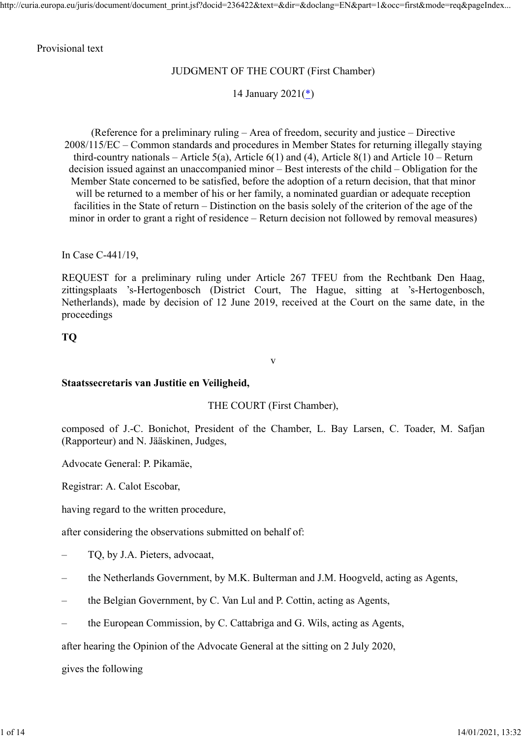#### Provisional text

## JUDGMENT OF THE COURT (First Chamber)

14 January 2021(\*)

(Reference for a preliminary ruling – Area of freedom, security and justice – Directive 2008/115/EC – Common standards and procedures in Member States for returning illegally staying third-country nationals – Article 5(a), Article 6(1) and (4), Article 8(1) and Article  $10$  – Return decision issued against an unaccompanied minor – Best interests of the child – Obligation for the Member State concerned to be satisfied, before the adoption of a return decision, that that minor will be returned to a member of his or her family, a nominated guardian or adequate reception facilities in the State of return – Distinction on the basis solely of the criterion of the age of the minor in order to grant a right of residence – Return decision not followed by removal measures)

In Case C-441/19,

REQUEST for a preliminary ruling under Article 267 TFEU from the Rechtbank Den Haag, zittingsplaats 's-Hertogenbosch (District Court, The Hague, sitting at 's-Hertogenbosch, Netherlands), made by decision of 12 June 2019, received at the Court on the same date, in the proceedings

**TQ**

#### **Staatssecretaris van Justitie en Veiligheid,**

THE COURT (First Chamber),

v

composed of J.-C. Bonichot, President of the Chamber, L. Bay Larsen, C. Toader, M. Safjan (Rapporteur) and N. Jääskinen, Judges,

Advocate General: P. Pikamäe,

Registrar: A. Calot Escobar,

having regard to the written procedure,

after considering the observations submitted on behalf of:

- TQ, by J.A. Pieters, advocaat,
- the Netherlands Government, by M.K. Bulterman and J.M. Hoogveld, acting as Agents,
- the Belgian Government, by C. Van Lul and P. Cottin, acting as Agents,
- the European Commission, by C. Cattabriga and G. Wils, acting as Agents,

after hearing the Opinion of the Advocate General at the sitting on 2 July 2020,

gives the following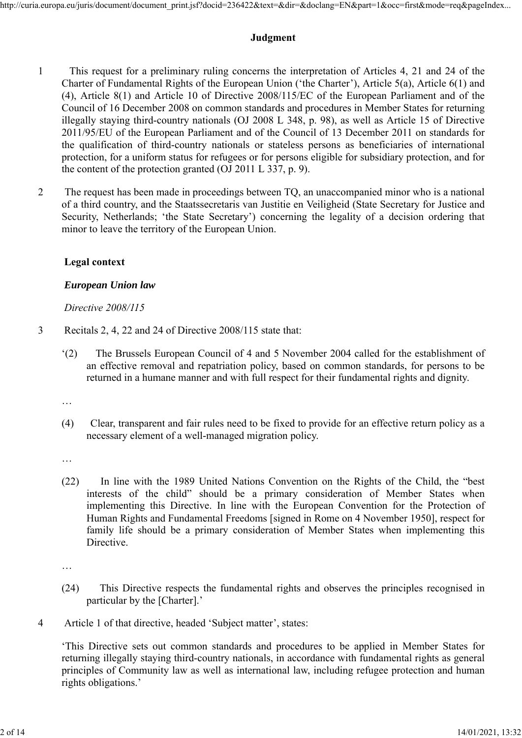# **Judgment**

- 1 This request for a preliminary ruling concerns the interpretation of Articles 4, 21 and 24 of the Charter of Fundamental Rights of the European Union ('the Charter'), Article 5(a), Article 6(1) and (4), Article 8(1) and Article 10 of Directive 2008/115/EC of the European Parliament and of the Council of 16 December 2008 on common standards and procedures in Member States for returning illegally staying third-country nationals (OJ 2008 L 348, p. 98), as well as Article 15 of Directive 2011/95/EU of the European Parliament and of the Council of 13 December 2011 on standards for the qualification of third-country nationals or stateless persons as beneficiaries of international protection, for a uniform status for refugees or for persons eligible for subsidiary protection, and for the content of the protection granted (OJ 2011 L 337, p. 9).
- 2 The request has been made in proceedings between TQ, an unaccompanied minor who is a national of a third country, and the Staatssecretaris van Justitie en Veiligheid (State Secretary for Justice and Security, Netherlands; 'the State Secretary') concerning the legality of a decision ordering that minor to leave the territory of the European Union.

# **Legal context**

## *European Union law*

## *Directive 2008/115*

- 3 Recitals 2, 4, 22 and 24 of Directive 2008/115 state that:
	- '(2) The Brussels European Council of 4 and 5 November 2004 called for the establishment of an effective removal and repatriation policy, based on common standards, for persons to be returned in a humane manner and with full respect for their fundamental rights and dignity.

…

(4) Clear, transparent and fair rules need to be fixed to provide for an effective return policy as a necessary element of a well-managed migration policy.

…

(22) In line with the 1989 United Nations Convention on the Rights of the Child, the "best interests of the child" should be a primary consideration of Member States when implementing this Directive. In line with the European Convention for the Protection of Human Rights and Fundamental Freedoms [signed in Rome on 4 November 1950], respect for family life should be a primary consideration of Member States when implementing this Directive.

…

- (24) This Directive respects the fundamental rights and observes the principles recognised in particular by the [Charter].'
- 4 Article 1 of that directive, headed 'Subject matter', states:

'This Directive sets out common standards and procedures to be applied in Member States for returning illegally staying third-country nationals, in accordance with fundamental rights as general principles of Community law as well as international law, including refugee protection and human rights obligations.'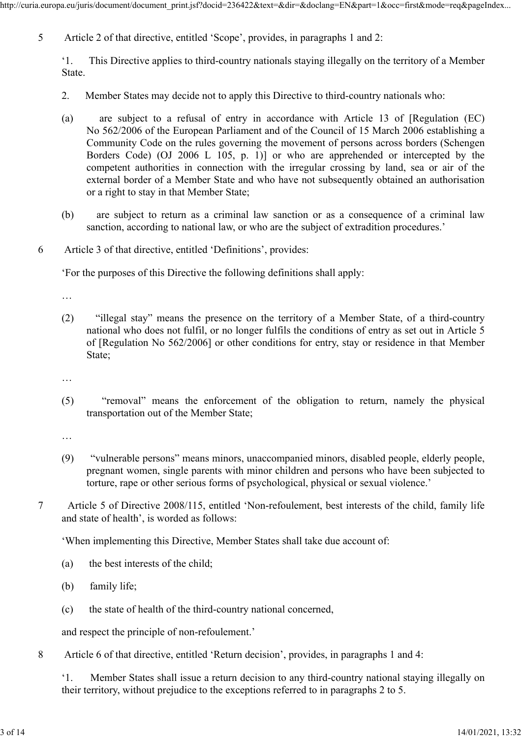5 Article 2 of that directive, entitled 'Scope', provides, in paragraphs 1 and 2:

'1. This Directive applies to third-country nationals staying illegally on the territory of a Member State.

- 2. Member States may decide not to apply this Directive to third-country nationals who:
- (a) are subject to a refusal of entry in accordance with Article 13 of [Regulation (EC) No 562/2006 of the European Parliament and of the Council of 15 March 2006 establishing a Community Code on the rules governing the movement of persons across borders (Schengen Borders Code) (OJ 2006 L 105, p. 1)] or who are apprehended or intercepted by the competent authorities in connection with the irregular crossing by land, sea or air of the external border of a Member State and who have not subsequently obtained an authorisation or a right to stay in that Member State;
- (b) are subject to return as a criminal law sanction or as a consequence of a criminal law sanction, according to national law, or who are the subject of extradition procedures.'
- 6 Article 3 of that directive, entitled 'Definitions', provides:

'For the purposes of this Directive the following definitions shall apply:

…

(2) "illegal stay" means the presence on the territory of a Member State, of a third-country national who does not fulfil, or no longer fulfils the conditions of entry as set out in Article 5 of [Regulation No 562/2006] or other conditions for entry, stay or residence in that Member State;

…

(5) "removal" means the enforcement of the obligation to return, namely the physical transportation out of the Member State;

…

- (9) "vulnerable persons" means minors, unaccompanied minors, disabled people, elderly people, pregnant women, single parents with minor children and persons who have been subjected to torture, rape or other serious forms of psychological, physical or sexual violence.'
- 7 Article 5 of Directive 2008/115, entitled 'Non-refoulement, best interests of the child, family life and state of health', is worded as follows:
	- 'When implementing this Directive, Member States shall take due account of:
	- (a) the best interests of the child;
	- (b) family life;
	- (c) the state of health of the third-country national concerned,

and respect the principle of non-refoulement.'

8 Article 6 of that directive, entitled 'Return decision', provides, in paragraphs 1 and 4:

'1. Member States shall issue a return decision to any third-country national staying illegally on their territory, without prejudice to the exceptions referred to in paragraphs 2 to 5.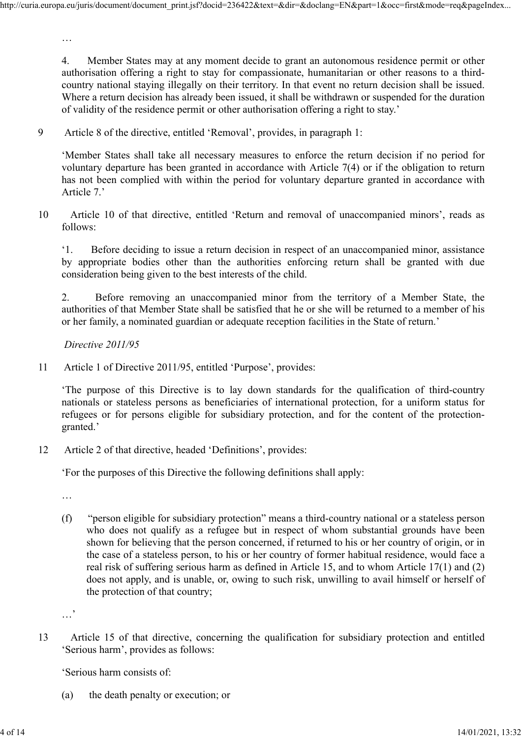4. Member States may at any moment decide to grant an autonomous residence permit or other authorisation offering a right to stay for compassionate, humanitarian or other reasons to a thirdcountry national staying illegally on their territory. In that event no return decision shall be issued. Where a return decision has already been issued, it shall be withdrawn or suspended for the duration of validity of the residence permit or other authorisation offering a right to stay.'

9 Article 8 of the directive, entitled 'Removal', provides, in paragraph 1:

'Member States shall take all necessary measures to enforce the return decision if no period for voluntary departure has been granted in accordance with Article 7(4) or if the obligation to return has not been complied with within the period for voluntary departure granted in accordance with Article 7.'

10 Article 10 of that directive, entitled 'Return and removal of unaccompanied minors', reads as follows:

'1. Before deciding to issue a return decision in respect of an unaccompanied minor, assistance by appropriate bodies other than the authorities enforcing return shall be granted with due consideration being given to the best interests of the child.

2. Before removing an unaccompanied minor from the territory of a Member State, the authorities of that Member State shall be satisfied that he or she will be returned to a member of his or her family, a nominated guardian or adequate reception facilities in the State of return.'

*Directive 2011/95*

11 Article 1 of Directive 2011/95, entitled 'Purpose', provides:

'The purpose of this Directive is to lay down standards for the qualification of third-country nationals or stateless persons as beneficiaries of international protection, for a uniform status for refugees or for persons eligible for subsidiary protection, and for the content of the protectiongranted.'

12 Article 2 of that directive, headed 'Definitions', provides:

'For the purposes of this Directive the following definitions shall apply:

…

…

(f) "person eligible for subsidiary protection" means a third-country national or a stateless person who does not qualify as a refugee but in respect of whom substantial grounds have been shown for believing that the person concerned, if returned to his or her country of origin, or in the case of a stateless person, to his or her country of former habitual residence, would face a real risk of suffering serious harm as defined in Article 15, and to whom Article 17(1) and (2) does not apply, and is unable, or, owing to such risk, unwilling to avail himself or herself of the protection of that country;

13 Article 15 of that directive, concerning the qualification for subsidiary protection and entitled 'Serious harm', provides as follows:

'Serious harm consists of:

(a) the death penalty or execution; or

<sup>…&</sup>lt;sup>'</sup>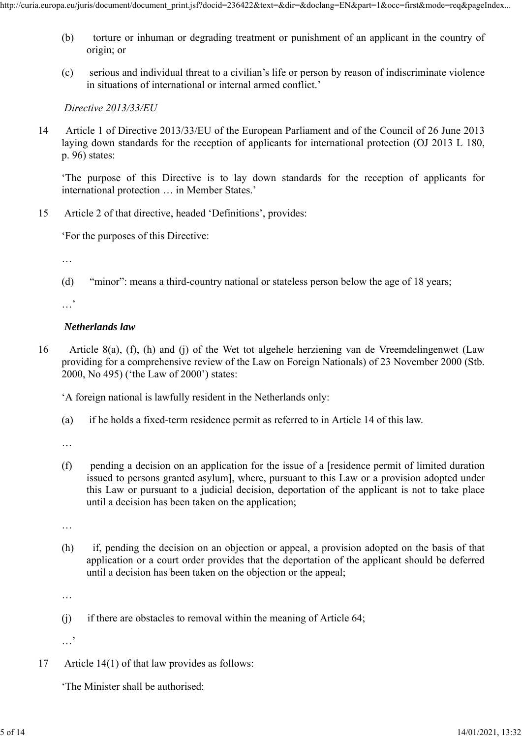- (b) torture or inhuman or degrading treatment or punishment of an applicant in the country of origin; or
- (c) serious and individual threat to a civilian's life or person by reason of indiscriminate violence in situations of international or internal armed conflict.'

*Directive 2013/33/EU*

14 Article 1 of Directive 2013/33/EU of the European Parliament and of the Council of 26 June 2013 laying down standards for the reception of applicants for international protection (OJ 2013 L 180, p. 96) states:

'The purpose of this Directive is to lay down standards for the reception of applicants for international protection … in Member States.'

15 Article 2 of that directive, headed 'Definitions', provides:

'For the purposes of this Directive:

…

(d) "minor": means a third-country national or stateless person below the age of 18 years;

…<sup>'</sup>

## *Netherlands law*

16 Article 8(a), (f), (h) and (j) of the Wet tot algehele herziening van de Vreemdelingenwet (Law providing for a comprehensive review of the Law on Foreign Nationals) of 23 November 2000 (Stb. 2000, No 495) ('the Law of 2000') states:

'A foreign national is lawfully resident in the Netherlands only:

(a) if he holds a fixed-term residence permit as referred to in Article 14 of this law.

…

(f) pending a decision on an application for the issue of a [residence permit of limited duration issued to persons granted asylum], where, pursuant to this Law or a provision adopted under this Law or pursuant to a judicial decision, deportation of the applicant is not to take place until a decision has been taken on the application;

…

(h) if, pending the decision on an objection or appeal, a provision adopted on the basis of that application or a court order provides that the deportation of the applicant should be deferred until a decision has been taken on the objection or the appeal;

…

(j) if there are obstacles to removal within the meaning of Article 64;

…,

17 Article 14(1) of that law provides as follows:

'The Minister shall be authorised: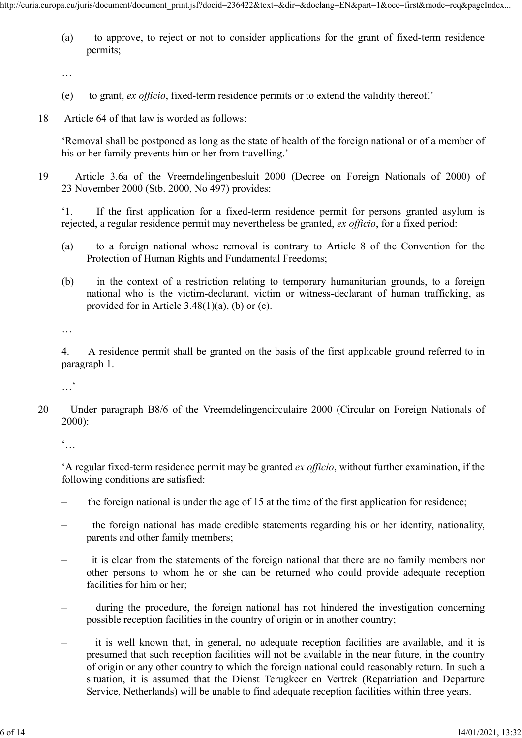(a) to approve, to reject or not to consider applications for the grant of fixed-term residence permits;

…

- (e) to grant, *ex officio*, fixed-term residence permits or to extend the validity thereof.'
- 18 Article 64 of that law is worded as follows:

'Removal shall be postponed as long as the state of health of the foreign national or of a member of his or her family prevents him or her from travelling.'

19 Article 3.6a of the Vreemdelingenbesluit 2000 (Decree on Foreign Nationals of 2000) of 23 November 2000 (Stb. 2000, No 497) provides:

'1. If the first application for a fixed-term residence permit for persons granted asylum is rejected, a regular residence permit may nevertheless be granted, *ex officio*, for a fixed period:

- (a) to a foreign national whose removal is contrary to Article 8 of the Convention for the Protection of Human Rights and Fundamental Freedoms;
- (b) in the context of a restriction relating to temporary humanitarian grounds, to a foreign national who is the victim-declarant, victim or witness-declarant of human trafficking, as provided for in Article  $3.48(1)(a)$ , (b) or (c).

…

4. A residence permit shall be granted on the basis of the first applicable ground referred to in paragraph 1.

…'

20 Under paragraph B8/6 of the Vreemdelingencirculaire 2000 (Circular on Foreign Nationals of 2000):

 $\dddot{\bullet}$ ...

'A regular fixed-term residence permit may be granted *ex officio*, without further examination, if the following conditions are satisfied:

- the foreign national is under the age of 15 at the time of the first application for residence;
- the foreign national has made credible statements regarding his or her identity, nationality, parents and other family members;
- it is clear from the statements of the foreign national that there are no family members nor other persons to whom he or she can be returned who could provide adequate reception facilities for him or her;
- during the procedure, the foreign national has not hindered the investigation concerning possible reception facilities in the country of origin or in another country;
- it is well known that, in general, no adequate reception facilities are available, and it is presumed that such reception facilities will not be available in the near future, in the country of origin or any other country to which the foreign national could reasonably return. In such a situation, it is assumed that the Dienst Terugkeer en Vertrek (Repatriation and Departure Service, Netherlands) will be unable to find adequate reception facilities within three years.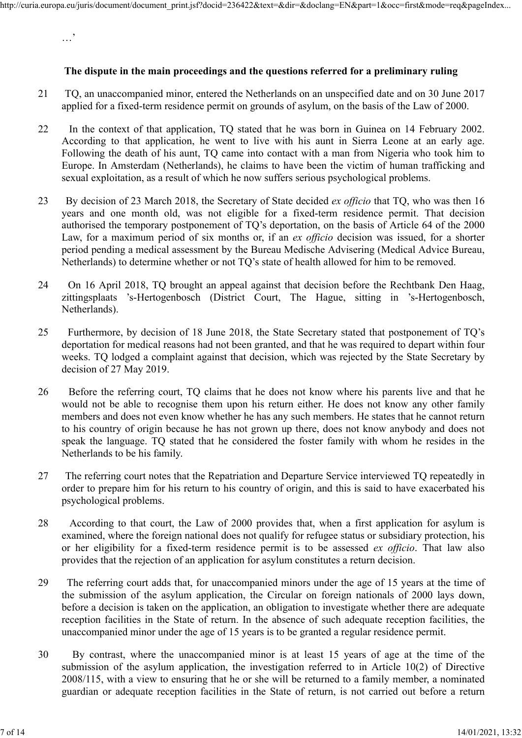**The dispute in the main proceedings and the questions referred for a preliminary ruling**

- 21 TQ, an unaccompanied minor, entered the Netherlands on an unspecified date and on 30 June 2017 applied for a fixed-term residence permit on grounds of asylum, on the basis of the Law of 2000.
- 22 In the context of that application, TQ stated that he was born in Guinea on 14 February 2002. According to that application, he went to live with his aunt in Sierra Leone at an early age. Following the death of his aunt, TQ came into contact with a man from Nigeria who took him to Europe. In Amsterdam (Netherlands), he claims to have been the victim of human trafficking and sexual exploitation, as a result of which he now suffers serious psychological problems.
- 23 By decision of 23 March 2018, the Secretary of State decided *ex officio* that TQ, who was then 16 years and one month old, was not eligible for a fixed-term residence permit. That decision authorised the temporary postponement of TQ's deportation, on the basis of Article 64 of the 2000 Law, for a maximum period of six months or, if an *ex officio* decision was issued, for a shorter period pending a medical assessment by the Bureau Medische Advisering (Medical Advice Bureau, Netherlands) to determine whether or not TQ's state of health allowed for him to be removed.
- 24 On 16 April 2018, TQ brought an appeal against that decision before the Rechtbank Den Haag, zittingsplaats 's-Hertogenbosch (District Court, The Hague, sitting in 's-Hertogenbosch, Netherlands).
- 25 Furthermore, by decision of 18 June 2018, the State Secretary stated that postponement of TQ's deportation for medical reasons had not been granted, and that he was required to depart within four weeks. TQ lodged a complaint against that decision, which was rejected by the State Secretary by decision of 27 May 2019.
- 26 Before the referring court, TQ claims that he does not know where his parents live and that he would not be able to recognise them upon his return either. He does not know any other family members and does not even know whether he has any such members. He states that he cannot return to his country of origin because he has not grown up there, does not know anybody and does not speak the language. TQ stated that he considered the foster family with whom he resides in the Netherlands to be his family.
- 27 The referring court notes that the Repatriation and Departure Service interviewed TQ repeatedly in order to prepare him for his return to his country of origin, and this is said to have exacerbated his psychological problems.
- 28 According to that court, the Law of 2000 provides that, when a first application for asylum is examined, where the foreign national does not qualify for refugee status or subsidiary protection, his or her eligibility for a fixed-term residence permit is to be assessed *ex officio*. That law also provides that the rejection of an application for asylum constitutes a return decision.
- 29 The referring court adds that, for unaccompanied minors under the age of 15 years at the time of the submission of the asylum application, the Circular on foreign nationals of 2000 lays down, before a decision is taken on the application, an obligation to investigate whether there are adequate reception facilities in the State of return. In the absence of such adequate reception facilities, the unaccompanied minor under the age of 15 years is to be granted a regular residence permit.
- 30 By contrast, where the unaccompanied minor is at least 15 years of age at the time of the submission of the asylum application, the investigation referred to in Article 10(2) of Directive 2008/115, with a view to ensuring that he or she will be returned to a family member, a nominated guardian or adequate reception facilities in the State of return, is not carried out before a return

…'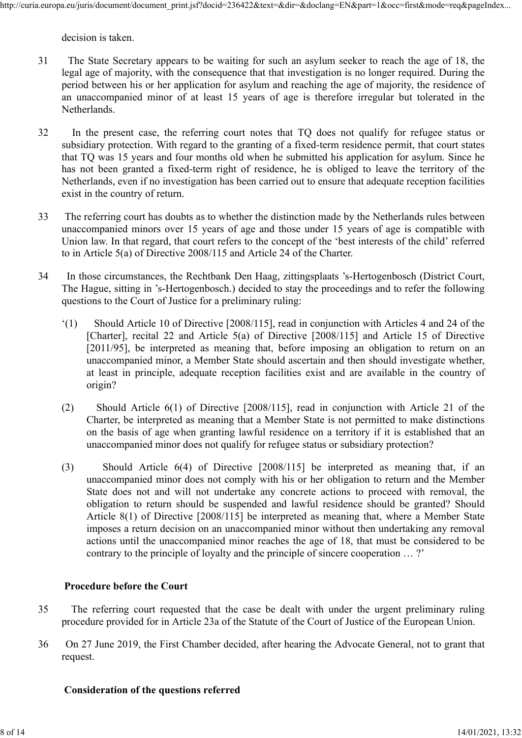decision is taken.

- 31 The State Secretary appears to be waiting for such an asylum seeker to reach the age of 18, the legal age of majority, with the consequence that that investigation is no longer required. During the period between his or her application for asylum and reaching the age of majority, the residence of an unaccompanied minor of at least 15 years of age is therefore irregular but tolerated in the Netherlands.
- 32 In the present case, the referring court notes that TQ does not qualify for refugee status or subsidiary protection. With regard to the granting of a fixed-term residence permit, that court states that TQ was 15 years and four months old when he submitted his application for asylum. Since he has not been granted a fixed-term right of residence, he is obliged to leave the territory of the Netherlands, even if no investigation has been carried out to ensure that adequate reception facilities exist in the country of return.
- 33 The referring court has doubts as to whether the distinction made by the Netherlands rules between unaccompanied minors over 15 years of age and those under 15 years of age is compatible with Union law. In that regard, that court refers to the concept of the 'best interests of the child' referred to in Article 5(a) of Directive 2008/115 and Article 24 of the Charter.
- 34 In those circumstances, the Rechtbank Den Haag, zittingsplaats 's-Hertogenbosch (District Court, The Hague, sitting in 's-Hertogenbosch.) decided to stay the proceedings and to refer the following questions to the Court of Justice for a preliminary ruling:
	- '(1) Should Article 10 of Directive [2008/115], read in conjunction with Articles 4 and 24 of the [Charter], recital 22 and Article 5(a) of Directive [2008/115] and Article 15 of Directive [2011/95], be interpreted as meaning that, before imposing an obligation to return on an unaccompanied minor, a Member State should ascertain and then should investigate whether, at least in principle, adequate reception facilities exist and are available in the country of origin?
	- (2) Should Article 6(1) of Directive [2008/115], read in conjunction with Article 21 of the Charter, be interpreted as meaning that a Member State is not permitted to make distinctions on the basis of age when granting lawful residence on a territory if it is established that an unaccompanied minor does not qualify for refugee status or subsidiary protection?
	- (3) Should Article 6(4) of Directive [2008/115] be interpreted as meaning that, if an unaccompanied minor does not comply with his or her obligation to return and the Member State does not and will not undertake any concrete actions to proceed with removal, the obligation to return should be suspended and lawful residence should be granted? Should Article 8(1) of Directive [2008/115] be interpreted as meaning that, where a Member State imposes a return decision on an unaccompanied minor without then undertaking any removal actions until the unaccompanied minor reaches the age of 18, that must be considered to be contrary to the principle of loyalty and the principle of sincere cooperation … ?'

# **Procedure before the Court**

- 35 The referring court requested that the case be dealt with under the urgent preliminary ruling procedure provided for in Article 23a of the Statute of the Court of Justice of the European Union.
- 36 On 27 June 2019, the First Chamber decided, after hearing the Advocate General, not to grant that request.

#### **Consideration of the questions referred**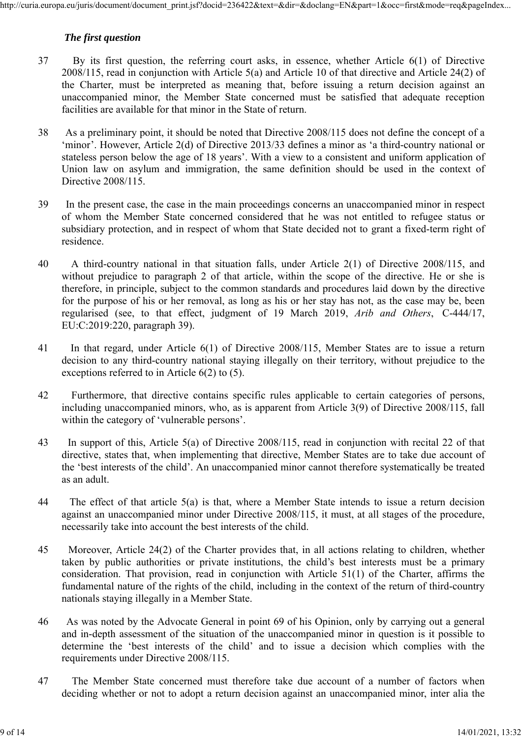# *The first question*

- 37 By its first question, the referring court asks, in essence, whether Article 6(1) of Directive 2008/115, read in conjunction with Article 5(a) and Article 10 of that directive and Article 24(2) of the Charter, must be interpreted as meaning that, before issuing a return decision against an unaccompanied minor, the Member State concerned must be satisfied that adequate reception facilities are available for that minor in the State of return.
- 38 As a preliminary point, it should be noted that Directive 2008/115 does not define the concept of a 'minor'. However, Article 2(d) of Directive 2013/33 defines a minor as 'a third-country national or stateless person below the age of 18 years'. With a view to a consistent and uniform application of Union law on asylum and immigration, the same definition should be used in the context of Directive 2008/115.
- 39 In the present case, the case in the main proceedings concerns an unaccompanied minor in respect of whom the Member State concerned considered that he was not entitled to refugee status or subsidiary protection, and in respect of whom that State decided not to grant a fixed-term right of residence.
- 40 A third-country national in that situation falls, under Article 2(1) of Directive 2008/115, and without prejudice to paragraph 2 of that article, within the scope of the directive. He or she is therefore, in principle, subject to the common standards and procedures laid down by the directive for the purpose of his or her removal, as long as his or her stay has not, as the case may be, been regularised (see, to that effect, judgment of 19 March 2019, *Arib and Others*, C-444/17, EU:C:2019:220, paragraph 39).
- 41 In that regard, under Article 6(1) of Directive 2008/115, Member States are to issue a return decision to any third-country national staying illegally on their territory, without prejudice to the exceptions referred to in Article 6(2) to (5).
- 42 Furthermore, that directive contains specific rules applicable to certain categories of persons, including unaccompanied minors, who, as is apparent from Article 3(9) of Directive 2008/115, fall within the category of 'vulnerable persons'.
- 43 In support of this, Article 5(a) of Directive 2008/115, read in conjunction with recital 22 of that directive, states that, when implementing that directive, Member States are to take due account of the 'best interests of the child'. An unaccompanied minor cannot therefore systematically be treated as an adult.
- 44 The effect of that article 5(a) is that, where a Member State intends to issue a return decision against an unaccompanied minor under Directive 2008/115, it must, at all stages of the procedure, necessarily take into account the best interests of the child.
- 45 Moreover, Article 24(2) of the Charter provides that, in all actions relating to children, whether taken by public authorities or private institutions, the child's best interests must be a primary consideration. That provision, read in conjunction with Article 51(1) of the Charter, affirms the fundamental nature of the rights of the child, including in the context of the return of third-country nationals staying illegally in a Member State.
- 46 As was noted by the Advocate General in point 69 of his Opinion, only by carrying out a general and in-depth assessment of the situation of the unaccompanied minor in question is it possible to determine the 'best interests of the child' and to issue a decision which complies with the requirements under Directive 2008/115.
- 47 The Member State concerned must therefore take due account of a number of factors when deciding whether or not to adopt a return decision against an unaccompanied minor, inter alia the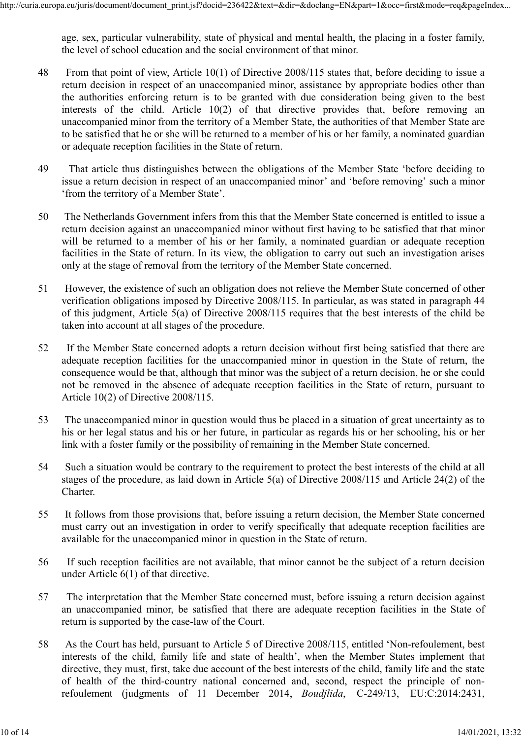age, sex, particular vulnerability, state of physical and mental health, the placing in a foster family, the level of school education and the social environment of that minor.

- 48 From that point of view, Article 10(1) of Directive 2008/115 states that, before deciding to issue a return decision in respect of an unaccompanied minor, assistance by appropriate bodies other than the authorities enforcing return is to be granted with due consideration being given to the best interests of the child. Article 10(2) of that directive provides that, before removing an unaccompanied minor from the territory of a Member State, the authorities of that Member State are to be satisfied that he or she will be returned to a member of his or her family, a nominated guardian or adequate reception facilities in the State of return.
- 49 That article thus distinguishes between the obligations of the Member State 'before deciding to issue a return decision in respect of an unaccompanied minor' and 'before removing' such a minor 'from the territory of a Member State'.
- 50 The Netherlands Government infers from this that the Member State concerned is entitled to issue a return decision against an unaccompanied minor without first having to be satisfied that that minor will be returned to a member of his or her family, a nominated guardian or adequate reception facilities in the State of return. In its view, the obligation to carry out such an investigation arises only at the stage of removal from the territory of the Member State concerned.
- 51 However, the existence of such an obligation does not relieve the Member State concerned of other verification obligations imposed by Directive 2008/115. In particular, as was stated in paragraph 44 of this judgment, Article 5(a) of Directive 2008/115 requires that the best interests of the child be taken into account at all stages of the procedure.
- 52 If the Member State concerned adopts a return decision without first being satisfied that there are adequate reception facilities for the unaccompanied minor in question in the State of return, the consequence would be that, although that minor was the subject of a return decision, he or she could not be removed in the absence of adequate reception facilities in the State of return, pursuant to Article 10(2) of Directive 2008/115.
- 53 The unaccompanied minor in question would thus be placed in a situation of great uncertainty as to his or her legal status and his or her future, in particular as regards his or her schooling, his or her link with a foster family or the possibility of remaining in the Member State concerned.
- 54 Such a situation would be contrary to the requirement to protect the best interests of the child at all stages of the procedure, as laid down in Article 5(a) of Directive 2008/115 and Article 24(2) of the Charter.
- 55 It follows from those provisions that, before issuing a return decision, the Member State concerned must carry out an investigation in order to verify specifically that adequate reception facilities are available for the unaccompanied minor in question in the State of return.
- 56 If such reception facilities are not available, that minor cannot be the subject of a return decision under Article 6(1) of that directive.
- 57 The interpretation that the Member State concerned must, before issuing a return decision against an unaccompanied minor, be satisfied that there are adequate reception facilities in the State of return is supported by the case-law of the Court.
- 58 As the Court has held, pursuant to Article 5 of Directive 2008/115, entitled 'Non-refoulement, best interests of the child, family life and state of health', when the Member States implement that directive, they must, first, take due account of the best interests of the child, family life and the state of health of the third-country national concerned and, second, respect the principle of nonrefoulement (judgments of 11 December 2014, *Boudjlida*, C-249/13, EU:C:2014:2431,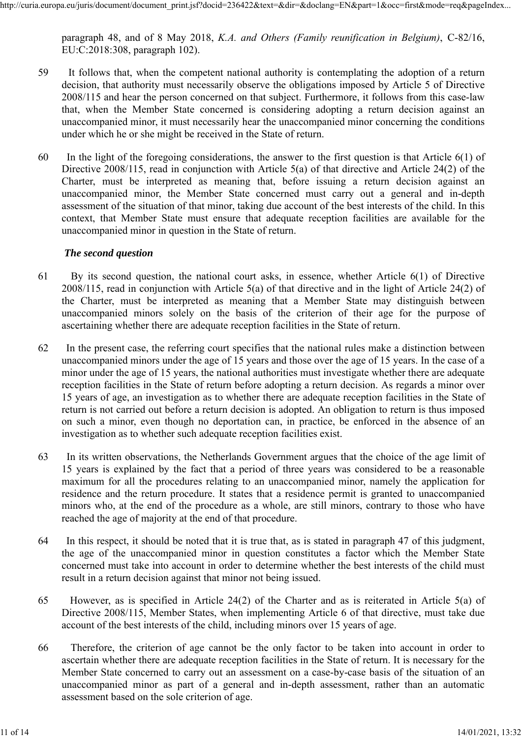paragraph 48, and of 8 May 2018, *K.A. and Others (Family reunification in Belgium)*, C-82/16, EU:C:2018:308, paragraph 102).

- 59 It follows that, when the competent national authority is contemplating the adoption of a return decision, that authority must necessarily observe the obligations imposed by Article 5 of Directive 2008/115 and hear the person concerned on that subject. Furthermore, it follows from this case-law that, when the Member State concerned is considering adopting a return decision against an unaccompanied minor, it must necessarily hear the unaccompanied minor concerning the conditions under which he or she might be received in the State of return.
- 60 In the light of the foregoing considerations, the answer to the first question is that Article 6(1) of Directive 2008/115, read in conjunction with Article 5(a) of that directive and Article 24(2) of the Charter, must be interpreted as meaning that, before issuing a return decision against an unaccompanied minor, the Member State concerned must carry out a general and in-depth assessment of the situation of that minor, taking due account of the best interests of the child. In this context, that Member State must ensure that adequate reception facilities are available for the unaccompanied minor in question in the State of return.

## *The second question*

- 61 By its second question, the national court asks, in essence, whether Article 6(1) of Directive 2008/115, read in conjunction with Article 5(a) of that directive and in the light of Article 24(2) of the Charter, must be interpreted as meaning that a Member State may distinguish between unaccompanied minors solely on the basis of the criterion of their age for the purpose of ascertaining whether there are adequate reception facilities in the State of return.
- 62 In the present case, the referring court specifies that the national rules make a distinction between unaccompanied minors under the age of 15 years and those over the age of 15 years. In the case of a minor under the age of 15 years, the national authorities must investigate whether there are adequate reception facilities in the State of return before adopting a return decision. As regards a minor over 15 years of age, an investigation as to whether there are adequate reception facilities in the State of return is not carried out before a return decision is adopted. An obligation to return is thus imposed on such a minor, even though no deportation can, in practice, be enforced in the absence of an investigation as to whether such adequate reception facilities exist.
- 63 In its written observations, the Netherlands Government argues that the choice of the age limit of 15 years is explained by the fact that a period of three years was considered to be a reasonable maximum for all the procedures relating to an unaccompanied minor, namely the application for residence and the return procedure. It states that a residence permit is granted to unaccompanied minors who, at the end of the procedure as a whole, are still minors, contrary to those who have reached the age of majority at the end of that procedure.
- 64 In this respect, it should be noted that it is true that, as is stated in paragraph 47 of this judgment, the age of the unaccompanied minor in question constitutes a factor which the Member State concerned must take into account in order to determine whether the best interests of the child must result in a return decision against that minor not being issued.
- 65 However, as is specified in Article 24(2) of the Charter and as is reiterated in Article 5(a) of Directive 2008/115, Member States, when implementing Article 6 of that directive, must take due account of the best interests of the child, including minors over 15 years of age.
- 66 Therefore, the criterion of age cannot be the only factor to be taken into account in order to ascertain whether there are adequate reception facilities in the State of return. It is necessary for the Member State concerned to carry out an assessment on a case-by-case basis of the situation of an unaccompanied minor as part of a general and in-depth assessment, rather than an automatic assessment based on the sole criterion of age.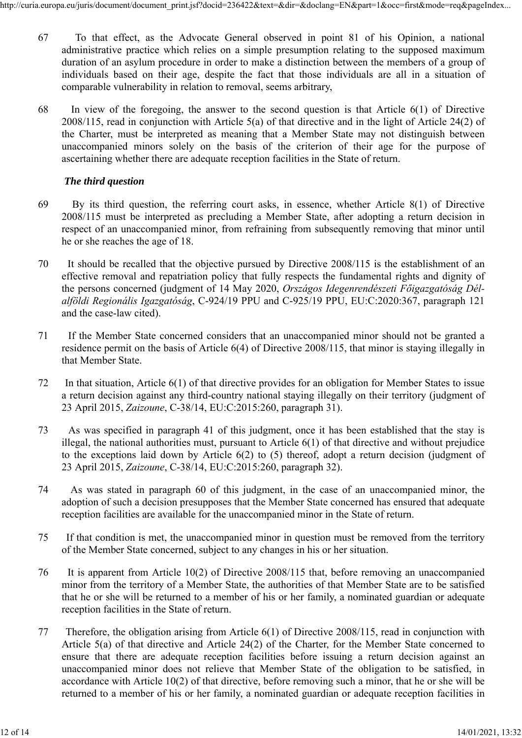- 67 To that effect, as the Advocate General observed in point 81 of his Opinion, a national administrative practice which relies on a simple presumption relating to the supposed maximum duration of an asylum procedure in order to make a distinction between the members of a group of individuals based on their age, despite the fact that those individuals are all in a situation of comparable vulnerability in relation to removal, seems arbitrary,
- 68 In view of the foregoing, the answer to the second question is that Article 6(1) of Directive 2008/115, read in conjunction with Article 5(a) of that directive and in the light of Article 24(2) of the Charter, must be interpreted as meaning that a Member State may not distinguish between unaccompanied minors solely on the basis of the criterion of their age for the purpose of ascertaining whether there are adequate reception facilities in the State of return.

#### *The third question*

- 69 By its third question, the referring court asks, in essence, whether Article 8(1) of Directive 2008/115 must be interpreted as precluding a Member State, after adopting a return decision in respect of an unaccompanied minor, from refraining from subsequently removing that minor until he or she reaches the age of 18.
- 70 It should be recalled that the objective pursued by Directive 2008/115 is the establishment of an effective removal and repatriation policy that fully respects the fundamental rights and dignity of the persons concerned (judgment of 14 May 2020, *Országos Idegenrendészeti Főigazgatóság Délalföldi Regionális Igazgatóság*, C-924/19 PPU and C-925/19 PPU, EU:C:2020:367, paragraph 121 and the case-law cited).
- 71 If the Member State concerned considers that an unaccompanied minor should not be granted a residence permit on the basis of Article 6(4) of Directive 2008/115, that minor is staying illegally in that Member State.
- 72 In that situation, Article 6(1) of that directive provides for an obligation for Member States to issue a return decision against any third-country national staying illegally on their territory (judgment of 23 April 2015, *Zaizoune*, C-38/14, EU:C:2015:260, paragraph 31).
- 73 As was specified in paragraph 41 of this judgment, once it has been established that the stay is illegal, the national authorities must, pursuant to Article 6(1) of that directive and without prejudice to the exceptions laid down by Article 6(2) to (5) thereof, adopt a return decision (judgment of 23 April 2015, *Zaizoune*, C-38/14, EU:C:2015:260, paragraph 32).
- 74 As was stated in paragraph 60 of this judgment, in the case of an unaccompanied minor, the adoption of such a decision presupposes that the Member State concerned has ensured that adequate reception facilities are available for the unaccompanied minor in the State of return.
- 75 If that condition is met, the unaccompanied minor in question must be removed from the territory of the Member State concerned, subject to any changes in his or her situation.
- 76 It is apparent from Article 10(2) of Directive 2008/115 that, before removing an unaccompanied minor from the territory of a Member State, the authorities of that Member State are to be satisfied that he or she will be returned to a member of his or her family, a nominated guardian or adequate reception facilities in the State of return.
- 77 Therefore, the obligation arising from Article 6(1) of Directive 2008/115, read in conjunction with Article 5(a) of that directive and Article 24(2) of the Charter, for the Member State concerned to ensure that there are adequate reception facilities before issuing a return decision against an unaccompanied minor does not relieve that Member State of the obligation to be satisfied, in accordance with Article 10(2) of that directive, before removing such a minor, that he or she will be returned to a member of his or her family, a nominated guardian or adequate reception facilities in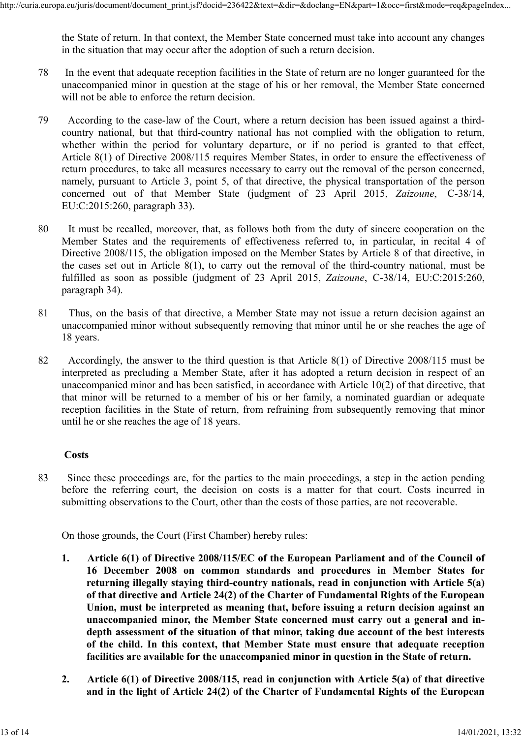the State of return. In that context, the Member State concerned must take into account any changes in the situation that may occur after the adoption of such a return decision.

- 78 In the event that adequate reception facilities in the State of return are no longer guaranteed for the unaccompanied minor in question at the stage of his or her removal, the Member State concerned will not be able to enforce the return decision.
- 79 According to the case-law of the Court, where a return decision has been issued against a thirdcountry national, but that third-country national has not complied with the obligation to return, whether within the period for voluntary departure, or if no period is granted to that effect, Article 8(1) of Directive 2008/115 requires Member States, in order to ensure the effectiveness of return procedures, to take all measures necessary to carry out the removal of the person concerned, namely, pursuant to Article 3, point 5, of that directive, the physical transportation of the person concerned out of that Member State (judgment of 23 April 2015, *Zaizoune*, C-38/14, EU:C:2015:260, paragraph 33).
- 80 It must be recalled, moreover, that, as follows both from the duty of sincere cooperation on the Member States and the requirements of effectiveness referred to, in particular, in recital 4 of Directive 2008/115, the obligation imposed on the Member States by Article 8 of that directive, in the cases set out in Article 8(1), to carry out the removal of the third-country national, must be fulfilled as soon as possible (judgment of 23 April 2015, *Zaizoune*, C-38/14, EU:C:2015:260, paragraph 34).
- 81 Thus, on the basis of that directive, a Member State may not issue a return decision against an unaccompanied minor without subsequently removing that minor until he or she reaches the age of 18 years.
- 82 Accordingly, the answer to the third question is that Article 8(1) of Directive 2008/115 must be interpreted as precluding a Member State, after it has adopted a return decision in respect of an unaccompanied minor and has been satisfied, in accordance with Article 10(2) of that directive, that that minor will be returned to a member of his or her family, a nominated guardian or adequate reception facilities in the State of return, from refraining from subsequently removing that minor until he or she reaches the age of 18 years.

#### **Costs**

83 Since these proceedings are, for the parties to the main proceedings, a step in the action pending before the referring court, the decision on costs is a matter for that court. Costs incurred in submitting observations to the Court, other than the costs of those parties, are not recoverable.

On those grounds, the Court (First Chamber) hereby rules:

- **1. Article 6(1) of Directive 2008/115/EC of the European Parliament and of the Council of 16 December 2008 on common standards and procedures in Member States for returning illegally staying third-country nationals, read in conjunction with Article 5(a) of that directive and Article 24(2) of the Charter of Fundamental Rights of the European Union, must be interpreted as meaning that, before issuing a return decision against an unaccompanied minor, the Member State concerned must carry out a general and indepth assessment of the situation of that minor, taking due account of the best interests of the child. In this context, that Member State must ensure that adequate reception facilities are available for the unaccompanied minor in question in the State of return.**
- **2. Article 6(1) of Directive 2008/115, read in conjunction with Article 5(a) of that directive and in the light of Article 24(2) of the Charter of Fundamental Rights of the European**